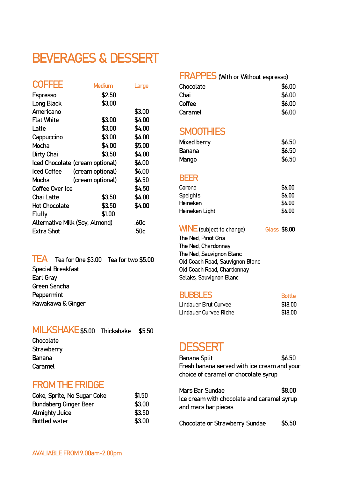# BEVERAGES & DESSERT

| <b>COFFEE</b>        | Medium                          | Large  |
|----------------------|---------------------------------|--------|
| <b>Espresso</b>      | \$2.50                          |        |
| Long Black           | \$3.00                          |        |
| Americano            |                                 | \$3.00 |
| <b>Flat White</b>    | \$3.00                          | \$4.00 |
| Latte                | \$3.00                          | \$4.00 |
| Cappuccino           | \$3.00                          | \$4.00 |
| Mocha                | \$4.00                          | \$5.00 |
| Dirty Chai           | \$3.50                          | \$4.00 |
|                      | Iced Chocolate (cream optional) | \$6.00 |
| <b>Iced Coffee</b>   | (cream optional)                | \$6.00 |
| Mocha                | (cream optional)                | \$6.50 |
| Coffee Over Ice      |                                 | \$4.50 |
| Chai Latte           | \$3.50                          | \$4.00 |
| <b>Hot Chocolate</b> | \$3.50                          | \$4.00 |
| <b>Fluffy</b>        | \$1.00                          |        |
|                      | Alternative Milk (Soy, Almond)  | .60c   |
| Extra Shot           |                                 | .50c   |

TEA Tea for One \$3.00 Tea for two \$5.00 Special Breakfast Earl Gray Green Sencha **Peppermint** Kawakawa & Ginger

## MILKSHAKE\$5.00 Thickshake \$5.50

Chocolate **Strawberry** Banana Caramel

## FROM THE FRIDGE

| Coke, Sprite, No Sugar Coke | \$1.50 |
|-----------------------------|--------|
| Bundaberg Ginger Beer       | \$3.00 |
| <b>Almighty Juice</b>       | \$3.50 |
| <b>Bottled water</b>        | \$3.00 |
|                             |        |

### FRAPPES(With or Without espresso)

| \$6.00 |
|--------|
| \$6.00 |
| \$6.00 |
| \$6.00 |
|        |

## **SMOOTHIES**

| Mixed berry | \$6.50 |
|-------------|--------|
| Banana      | \$6.50 |
| Mango       | \$6.50 |

#### BEER

| Corona          | \$6.00 |
|-----------------|--------|
| <b>Speights</b> | \$6.00 |
| <b>Heineken</b> | \$6.00 |
| Heineken Light  | \$6.00 |

| <b>WINE</b> (subject to change) | Glass \$8.00 |  |
|---------------------------------|--------------|--|
| The Ned, Pinot Gris             |              |  |
| The Ned, Chardonnay             |              |  |
| The Ned, Sauvignon Blanc        |              |  |
| Old Coach Road, Sauvignon Blanc |              |  |
| Old Coach Road, Chardonnay      |              |  |
| Selaks, Sauvignon Blanc         |              |  |
|                                 |              |  |

#### **BUBBLES** Bottle

| Lindauer Brut Curvee  | \$18.00 |
|-----------------------|---------|
| Lindauer Curvee Riche | \$18.00 |

## **DESSERT**

| <b>Banana Split</b>                                                                  | \$6.50 |
|--------------------------------------------------------------------------------------|--------|
| Fresh banana served with ice cream and your                                          |        |
| choice of caramel or chocolate syrup                                                 |        |
| Mars Bar Sundae<br>Ice cream with chocolate and caramel syrup<br>and mars bar pieces | \$8.00 |
| <b>Chocolate or Strawberry Sundae</b>                                                | \$5.50 |